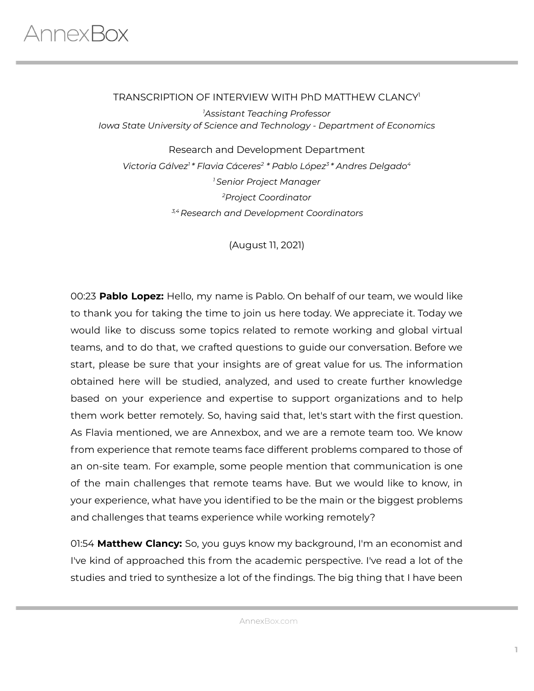#### TRANSCRIPTION OF INTERVIEW WITH PhD MATTHEW CLANCY 1

*<sup>1</sup>Assistant Teaching Professor Iowa State University of Science and Technology - Department of Economics*

Research and Development Department *Victoria Gálvez 1 \* Flavia Cáceres 2 \* Pablo López 3 \* Andres Delgado 4 <sup>1</sup> Senior Project Manager <sup>2</sup>Project Coordinator 3,4 Research and Development Coordinators*

(August 11, 2021)

00:23 **Pablo Lopez:** Hello, my name is Pablo. On behalf of our team, we would like to thank you for taking the time to join us here today. We appreciate it. Today we would like to discuss some topics related to remote working and global virtual teams, and to do that, we crafted questions to guide our conversation. Before we start, please be sure that your insights are of great value for us. The information obtained here will be studied, analyzed, and used to create further knowledge based on your experience and expertise to support organizations and to help them work better remotely. So, having said that, let's start with the first question. As Flavia mentioned, we are Annexbox, and we are a remote team too. We know from experience that remote teams face different problems compared to those of an on-site team. For example, some people mention that communication is one of the main challenges that remote teams have. But we would like to know, in your experience, what have you identified to be the main or the biggest problems and challenges that teams experience while working remotely?

01:54 **Matthew Clancy:** So, you guys know my background, I'm an economist and I've kind of approached this from the academic perspective. I've read a lot of the studies and tried to synthesize a lot of the findings. The big thing that I have been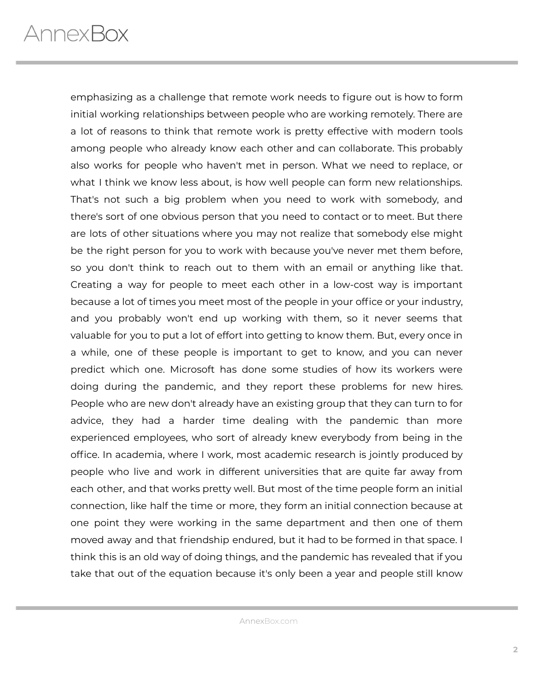emphasizing as a challenge that remote work needs to figure out is how to form initial working relationships between people who are working remotely. There are a lot of reasons to think that remote work is pretty effective with modern tools among people who already know each other and can collaborate. This probably also works for people who haven't met in person. What we need to replace, or what I think we know less about, is how well people can form new relationships. That's not such a big problem when you need to work with somebody, and there's sort of one obvious person that you need to contact or to meet. But there are lots of other situations where you may not realize that somebody else might be the right person for you to work with because you've never met them before, so you don't think to reach out to them with an email or anything like that. Creating a way for people to meet each other in a low-cost way is important because a lot of times you meet most of the people in your office or your industry, and you probably won't end up working with them, so it never seems that valuable for you to put a lot of effort into getting to know them. But, every once in a while, one of these people is important to get to know, and you can never predict which one. Microsoft has done some studies of how its workers were doing during the pandemic, and they report these problems for new hires. People who are new don't already have an existing group that they can turn to for advice, they had a harder time dealing with the pandemic than more experienced employees, who sort of already knew everybody from being in the office. In academia, where I work, most academic research is jointly produced by people who live and work in different universities that are quite far away from each other, and that works pretty well. But most of the time people form an initial connection, like half the time or more, they form an initial connection because at one point they were working in the same department and then one of them moved away and that friendship endured, but it had to be formed in that space. I think this is an old way of doing things, and the pandemic has revealed that if you take that out of the equation because it's only been a year and people still know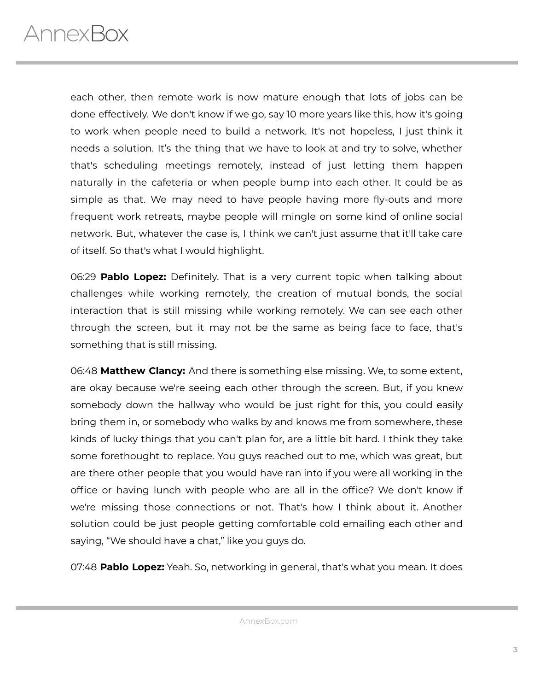each other, then remote work is now mature enough that lots of jobs can be done effectively. We don't know if we go, say 10 more years like this, how it's going to work when people need to build a network. It's not hopeless, I just think it needs a solution. It's the thing that we have to look at and try to solve, whether that's scheduling meetings remotely, instead of just letting them happen naturally in the cafeteria or when people bump into each other. It could be as simple as that. We may need to have people having more fly-outs and more frequent work retreats, maybe people will mingle on some kind of online social network. But, whatever the case is, I think we can't just assume that it'll take care of itself. So that's what I would highlight.

06:29 **Pablo Lopez:** Definitely. That is a very current topic when talking about challenges while working remotely, the creation of mutual bonds, the social interaction that is still missing while working remotely. We can see each other through the screen, but it may not be the same as being face to face, that's something that is still missing.

06:48 **Matthew Clancy:** And there is something else missing. We, to some extent, are okay because we're seeing each other through the screen. But, if you knew somebody down the hallway who would be just right for this, you could easily bring them in, or somebody who walks by and knows me from somewhere, these kinds of lucky things that you can't plan for, are a little bit hard. I think they take some forethought to replace. You guys reached out to me, which was great, but are there other people that you would have ran into if you were all working in the office or having lunch with people who are all in the office? We don't know if we're missing those connections or not. That's how I think about it. Another solution could be just people getting comfortable cold emailing each other and saying, "We should have a chat," like you guys do.

07:48 **Pablo Lopez:** Yeah. So, networking in general, that's what you mean. It does

AnnexBox.com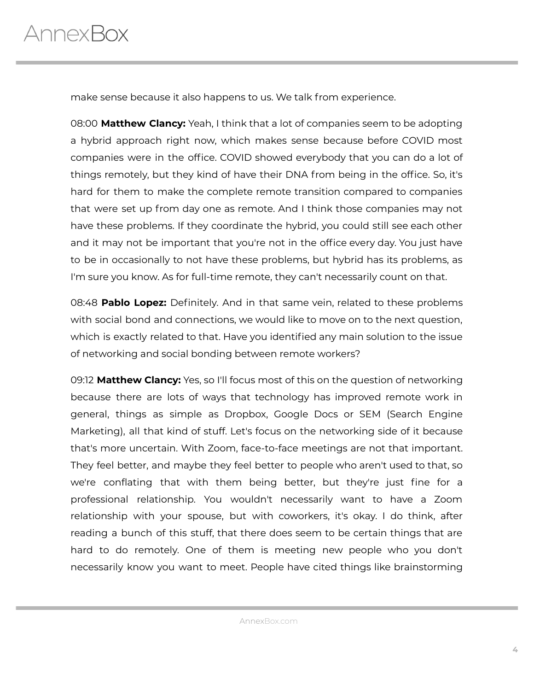make sense because it also happens to us. We talk from experience.

08:00 **Matthew Clancy:** Yeah, I think that a lot of companies seem to be adopting a hybrid approach right now, which makes sense because before COVID most companies were in the office. COVID showed everybody that you can do a lot of things remotely, but they kind of have their DNA from being in the office. So, it's hard for them to make the complete remote transition compared to companies that were set up from day one as remote. And I think those companies may not have these problems. If they coordinate the hybrid, you could still see each other and it may not be important that you're not in the office every day. You just have to be in occasionally to not have these problems, but hybrid has its problems, as I'm sure you know. As for full-time remote, they can't necessarily count on that.

08:48 **Pablo Lopez:** Definitely. And in that same vein, related to these problems with social bond and connections, we would like to move on to the next question, which is exactly related to that. Have you identified any main solution to the issue of networking and social bonding between remote workers?

09:12 **Matthew Clancy:** Yes, so I'll focus most of this on the question of networking because there are lots of ways that technology has improved remote work in general, things as simple as Dropbox, Google Docs or SEM (Search Engine Marketing), all that kind of stuff. Let's focus on the networking side of it because that's more uncertain. With Zoom, face-to-face meetings are not that important. They feel better, and maybe they feel better to people who aren't used to that, so we're conflating that with them being better, but they're just fine for a professional relationship. You wouldn't necessarily want to have a Zoom relationship with your spouse, but with coworkers, it's okay. I do think, after reading a bunch of this stuff, that there does seem to be certain things that are hard to do remotely. One of them is meeting new people who you don't necessarily know you want to meet. People have cited things like brainstorming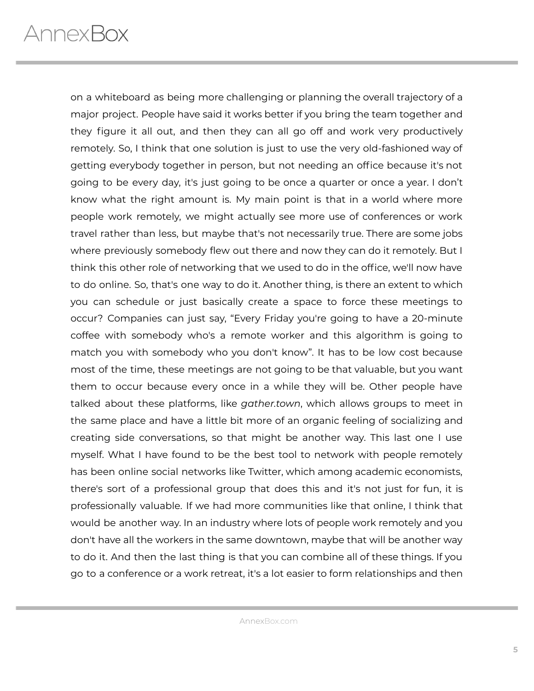on a whiteboard as being more challenging or planning the overall trajectory of a major project. People have said it works better if you bring the team together and they figure it all out, and then they can all go off and work very productively remotely. So, I think that one solution is just to use the very old-fashioned way of getting everybody together in person, but not needing an office because it's not going to be every day, it's just going to be once a quarter or once a year. I don't know what the right amount is. My main point is that in a world where more people work remotely, we might actually see more use of conferences or work travel rather than less, but maybe that's not necessarily true. There are some jobs where previously somebody flew out there and now they can do it remotely. But I think this other role of networking that we used to do in the office, we'll now have to do online. So, that's one way to do it. Another thing, is there an extent to which you can schedule or just basically create a space to force these meetings to occur? Companies can just say, "Every Friday you're going to have a 20-minute coffee with somebody who's a remote worker and this algorithm is going to match you with somebody who you don't know". It has to be low cost because most of the time, these meetings are not going to be that valuable, but you want them to occur because every once in a while they will be. Other people have talked about these platforms, like *gather.town*, which allows groups to meet in the same place and have a little bit more of an organic feeling of socializing and creating side conversations, so that might be another way. This last one I use myself. What I have found to be the best tool to network with people remotely has been online social networks like Twitter, which among academic economists, there's sort of a professional group that does this and it's not just for fun, it is professionally valuable. If we had more communities like that online, I think that would be another way. In an industry where lots of people work remotely and you don't have all the workers in the same downtown, maybe that will be another way to do it. And then the last thing is that you can combine all of these things. If you go to a conference or a work retreat, it's a lot easier to form relationships and then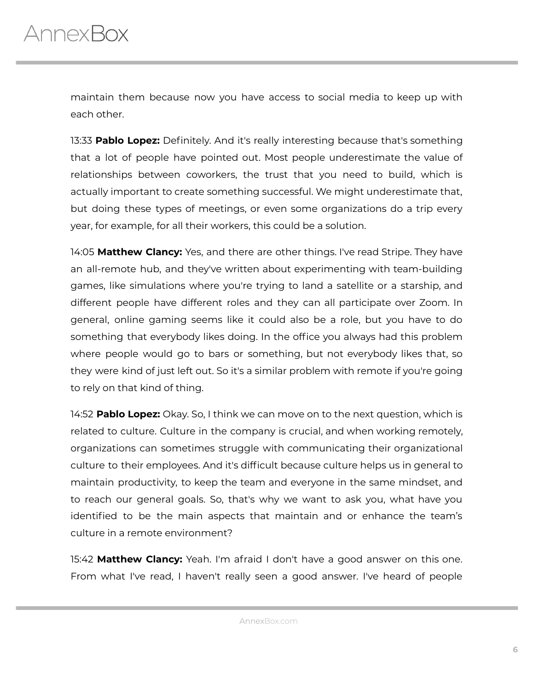maintain them because now you have access to social media to keep up with each other.

13:33 **Pablo Lopez:** Definitely. And it's really interesting because that's something that a lot of people have pointed out. Most people underestimate the value of relationships between coworkers, the trust that you need to build, which is actually important to create something successful. We might underestimate that, but doing these types of meetings, or even some organizations do a trip every year, for example, for all their workers, this could be a solution.

14:05 **Matthew Clancy:** Yes, and there are other things. I've read Stripe. They have an all-remote hub, and they've written about experimenting with team-building games, like simulations where you're trying to land a satellite or a starship, and different people have different roles and they can all participate over Zoom. In general, online gaming seems like it could also be a role, but you have to do something that everybody likes doing. In the office you always had this problem where people would go to bars or something, but not everybody likes that, so they were kind of just left out. So it's a similar problem with remote if you're going to rely on that kind of thing.

14:52 **Pablo Lopez:** Okay. So, I think we can move on to the next question, which is related to culture. Culture in the company is crucial, and when working remotely, organizations can sometimes struggle with communicating their organizational culture to their employees. And it's difficult because culture helps us in general to maintain productivity, to keep the team and everyone in the same mindset, and to reach our general goals. So, that's why we want to ask you, what have you identified to be the main aspects that maintain and or enhance the team's culture in a remote environment?

15:42 **Matthew Clancy:** Yeah. I'm afraid I don't have a good answer on this one. From what I've read, I haven't really seen a good answer. I've heard of people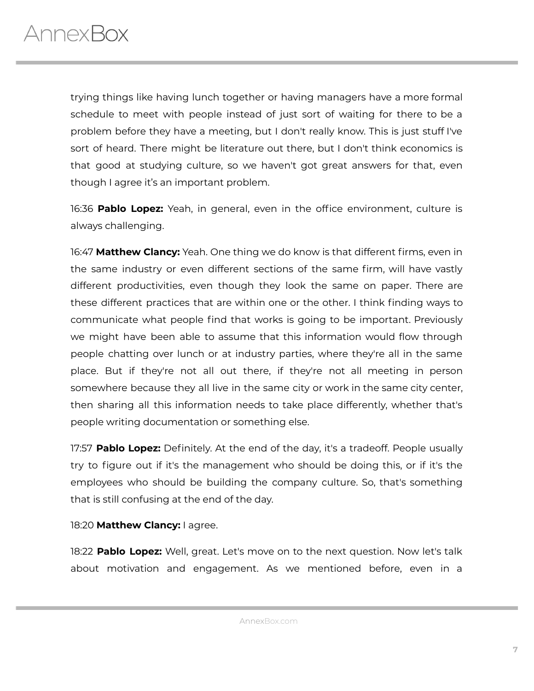trying things like having lunch together or having managers have a more formal schedule to meet with people instead of just sort of waiting for there to be a problem before they have a meeting, but I don't really know. This is just stuff I've sort of heard. There might be literature out there, but I don't think economics is that good at studying culture, so we haven't got great answers for that, even though I agree it's an important problem.

16:36 **Pablo Lopez:** Yeah, in general, even in the office environment, culture is always challenging.

16:47 **Matthew Clancy:** Yeah. One thing we do know is that different firms, even in the same industry or even different sections of the same firm, will have vastly different productivities, even though they look the same on paper. There are these different practices that are within one or the other. I think finding ways to communicate what people find that works is going to be important. Previously we might have been able to assume that this information would flow through people chatting over lunch or at industry parties, where they're all in the same place. But if they're not all out there, if they're not all meeting in person somewhere because they all live in the same city or work in the same city center, then sharing all this information needs to take place differently, whether that's people writing documentation or something else.

17:57 **Pablo Lopez:** Definitely. At the end of the day, it's a tradeoff. People usually try to figure out if it's the management who should be doing this, or if it's the employees who should be building the company culture. So, that's something that is still confusing at the end of the day.

#### 18:20 **Matthew Clancy:** I agree.

18:22 **Pablo Lopez:** Well, great. Let's move on to the next question. Now let's talk about motivation and engagement. As we mentioned before, even in a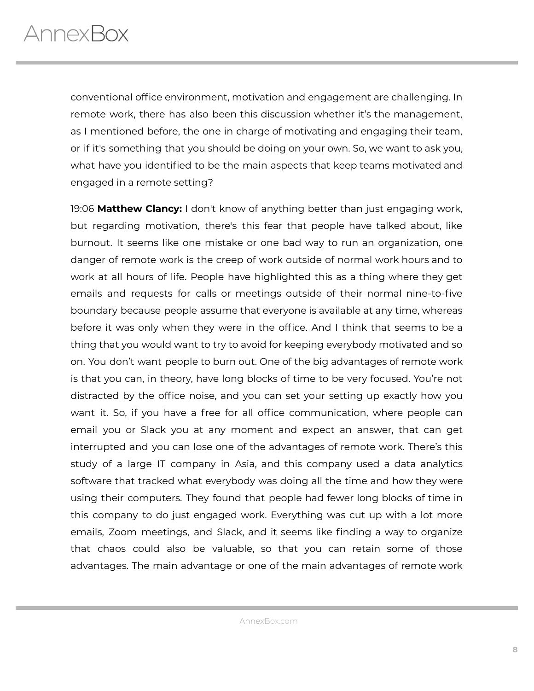conventional office environment, motivation and engagement are challenging. In remote work, there has also been this discussion whether it's the management, as I mentioned before, the one in charge of motivating and engaging their team, or if it's something that you should be doing on your own. So, we want to ask you, what have you identified to be the main aspects that keep teams motivated and engaged in a remote setting?

19:06 **Matthew Clancy:** I don't know of anything better than just engaging work, but regarding motivation, there's this fear that people have talked about, like burnout. It seems like one mistake or one bad way to run an organization, one danger of remote work is the creep of work outside of normal work hours and to work at all hours of life. People have highlighted this as a thing where they get emails and requests for calls or meetings outside of their normal nine-to-five boundary because people assume that everyone is available at any time, whereas before it was only when they were in the office. And I think that seems to be a thing that you would want to try to avoid for keeping everybody motivated and so on. You don't want people to burn out. One of the big advantages of remote work is that you can, in theory, have long blocks of time to be very focused. You're not distracted by the office noise, and you can set your setting up exactly how you want it. So, if you have a free for all office communication, where people can email you or Slack you at any moment and expect an answer, that can get interrupted and you can lose one of the advantages of remote work. There's this study of a large IT company in Asia, and this company used a data analytics software that tracked what everybody was doing all the time and how they were using their computers. They found that people had fewer long blocks of time in this company to do just engaged work. Everything was cut up with a lot more emails, Zoom meetings, and Slack, and it seems like finding a way to organize that chaos could also be valuable, so that you can retain some of those advantages. The main advantage or one of the main advantages of remote work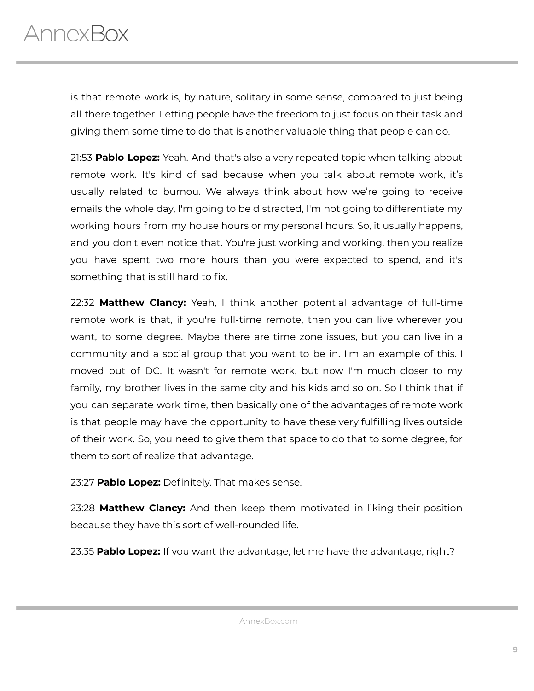is that remote work is, by nature, solitary in some sense, compared to just being all there together. Letting people have the freedom to just focus on their task and giving them some time to do that is another valuable thing that people can do.

21:53 **Pablo Lopez:** Yeah. And that's also a very repeated topic when talking about remote work. It's kind of sad because when you talk about remote work, it's usually related to burnou. We always think about how we're going to receive emails the whole day, I'm going to be distracted, I'm not going to differentiate my working hours from my house hours or my personal hours. So, it usually happens, and you don't even notice that. You're just working and working, then you realize you have spent two more hours than you were expected to spend, and it's something that is still hard to fix.

22:32 **Matthew Clancy:** Yeah, I think another potential advantage of full-time remote work is that, if you're full-time remote, then you can live wherever you want, to some degree. Maybe there are time zone issues, but you can live in a community and a social group that you want to be in. I'm an example of this. I moved out of DC. It wasn't for remote work, but now I'm much closer to my family, my brother lives in the same city and his kids and so on. So I think that if you can separate work time, then basically one of the advantages of remote work is that people may have the opportunity to have these very fulfilling lives outside of their work. So, you need to give them that space to do that to some degree, for them to sort of realize that advantage.

23:27 **Pablo Lopez:** Definitely. That makes sense.

23:28 **Matthew Clancy:** And then keep them motivated in liking their position because they have this sort of well-rounded life.

23:35 **Pablo Lopez:** If you want the advantage, let me have the advantage, right?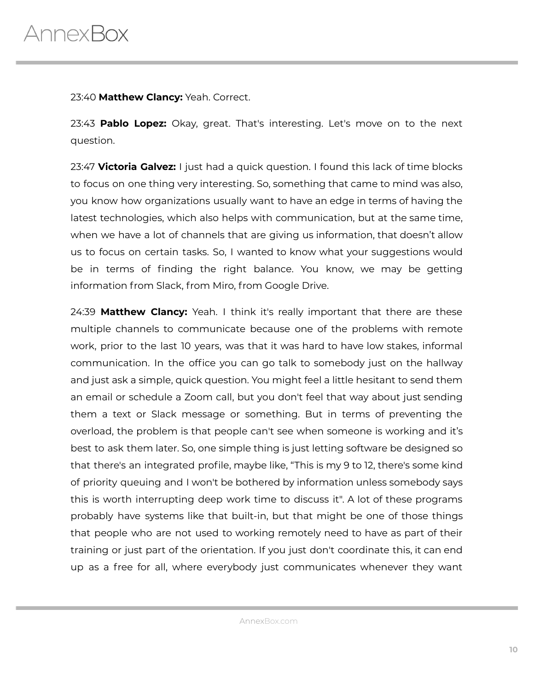23:40 **Matthew Clancy:** Yeah. Correct.

23:43 **Pablo Lopez:** Okay, great. That's interesting. Let's move on to the next question.

23:47 **Victoria Galvez:** I just had a quick question. I found this lack of time blocks to focus on one thing very interesting. So, something that came to mind was also, you know how organizations usually want to have an edge in terms of having the latest technologies, which also helps with communication, but at the same time, when we have a lot of channels that are giving us information, that doesn't allow us to focus on certain tasks. So, I wanted to know what your suggestions would be in terms of finding the right balance. You know, we may be getting information from Slack, from Miro, from Google Drive.

24:39 **Matthew Clancy:** Yeah. I think it's really important that there are these multiple channels to communicate because one of the problems with remote work, prior to the last 10 years, was that it was hard to have low stakes, informal communication. In the office you can go talk to somebody just on the hallway and just ask a simple, quick question. You might feel a little hesitant to send them an email or schedule a Zoom call, but you don't feel that way about just sending them a text or Slack message or something. But in terms of preventing the overload, the problem is that people can't see when someone is working and it's best to ask them later. So, one simple thing is just letting software be designed so that there's an integrated profile, maybe like, "This is my 9 to 12, there's some kind of priority queuing and I won't be bothered by information unless somebody says this is worth interrupting deep work time to discuss it". A lot of these programs probably have systems like that built-in, but that might be one of those things that people who are not used to working remotely need to have as part of their training or just part of the orientation. If you just don't coordinate this, it can end up as a free for all, where everybody just communicates whenever they want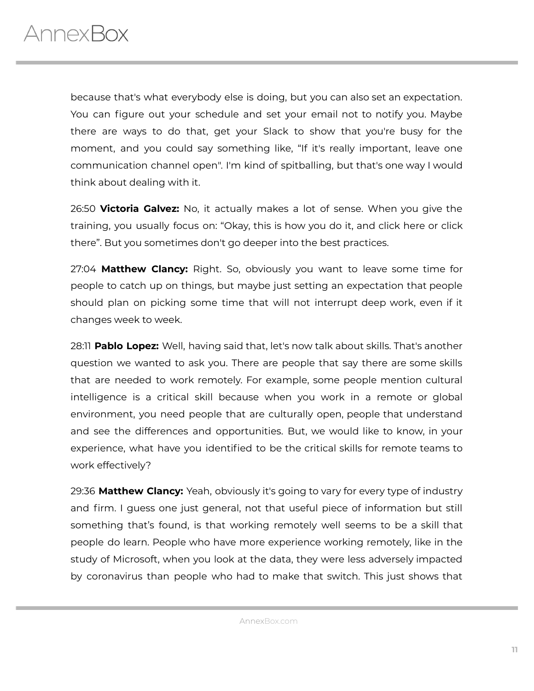because that's what everybody else is doing, but you can also set an expectation. You can figure out your schedule and set your email not to notify you. Maybe there are ways to do that, get your Slack to show that you're busy for the moment, and you could say something like, "If it's really important, leave one communication channel open". I'm kind of spitballing, but that's one way I would think about dealing with it.

26:50 **Victoria Galvez:** No, it actually makes a lot of sense. When you give the training, you usually focus on: "Okay, this is how you do it, and click here or click there". But you sometimes don't go deeper into the best practices.

27:04 **Matthew Clancy:** Right. So, obviously you want to leave some time for people to catch up on things, but maybe just setting an expectation that people should plan on picking some time that will not interrupt deep work, even if it changes week to week.

28:11 **Pablo Lopez:** Well, having said that, let's now talk about skills. That's another question we wanted to ask you. There are people that say there are some skills that are needed to work remotely. For example, some people mention cultural intelligence is a critical skill because when you work in a remote or global environment, you need people that are culturally open, people that understand and see the differences and opportunities. But, we would like to know, in your experience, what have you identified to be the critical skills for remote teams to work effectively?

29:36 **Matthew Clancy:** Yeah, obviously it's going to vary for every type of industry and firm. I guess one just general, not that useful piece of information but still something that's found, is that working remotely well seems to be a skill that people do learn. People who have more experience working remotely, like in the study of Microsoft, when you look at the data, they were less adversely impacted by coronavirus than people who had to make that switch. This just shows that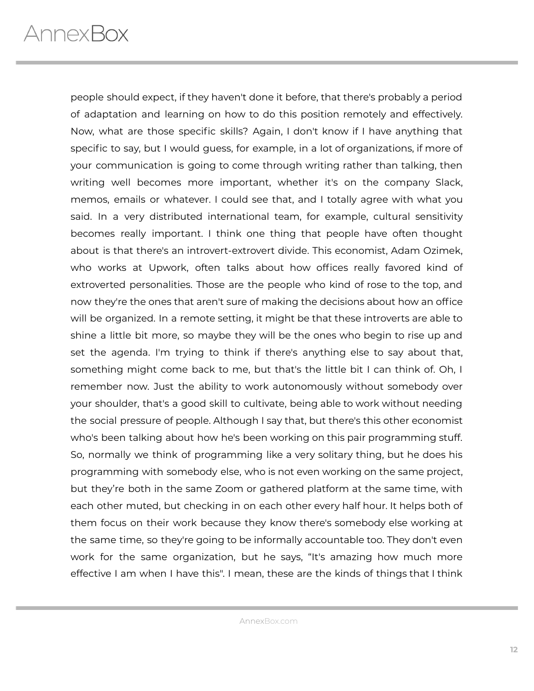people should expect, if they haven't done it before, that there's probably a period of adaptation and learning on how to do this position remotely and effectively. Now, what are those specific skills? Again, I don't know if I have anything that specific to say, but I would guess, for example, in a lot of organizations, if more of your communication is going to come through writing rather than talking, then writing well becomes more important, whether it's on the company Slack, memos, emails or whatever. I could see that, and I totally agree with what you said. In a very distributed international team, for example, cultural sensitivity becomes really important. I think one thing that people have often thought about is that there's an introvert-extrovert divide. This economist, Adam Ozimek, who works at Upwork, often talks about how offices really favored kind of extroverted personalities. Those are the people who kind of rose to the top, and now they're the ones that aren't sure of making the decisions about how an office will be organized. In a remote setting, it might be that these introverts are able to shine a little bit more, so maybe they will be the ones who begin to rise up and set the agenda. I'm trying to think if there's anything else to say about that, something might come back to me, but that's the little bit I can think of. Oh, I remember now. Just the ability to work autonomously without somebody over your shoulder, that's a good skill to cultivate, being able to work without needing the social pressure of people. Although I say that, but there's this other economist who's been talking about how he's been working on this pair programming stuff. So, normally we think of programming like a very solitary thing, but he does his programming with somebody else, who is not even working on the same project, but they're both in the same Zoom or gathered platform at the same time, with each other muted, but checking in on each other every half hour. It helps both of them focus on their work because they know there's somebody else working at the same time, so they're going to be informally accountable too. They don't even work for the same organization, but he says, "It's amazing how much more effective I am when I have this". I mean, these are the kinds of things that I think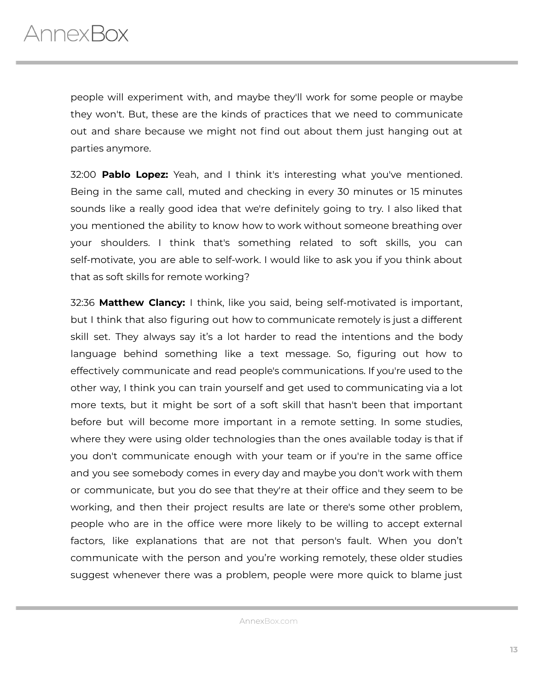people will experiment with, and maybe they'll work for some people or maybe they won't. But, these are the kinds of practices that we need to communicate out and share because we might not find out about them just hanging out at parties anymore.

32:00 **Pablo Lopez:** Yeah, and I think it's interesting what you've mentioned. Being in the same call, muted and checking in every 30 minutes or 15 minutes sounds like a really good idea that we're definitely going to try. I also liked that you mentioned the ability to know how to work without someone breathing over your shoulders. I think that's something related to soft skills, you can self-motivate, you are able to self-work. I would like to ask you if you think about that as soft skills for remote working?

32:36 **Matthew Clancy:** I think, like you said, being self-motivated is important, but I think that also figuring out how to communicate remotely is just a different skill set. They always say it's a lot harder to read the intentions and the body language behind something like a text message. So, figuring out how to effectively communicate and read people's communications. If you're used to the other way, I think you can train yourself and get used to communicating via a lot more texts, but it might be sort of a soft skill that hasn't been that important before but will become more important in a remote setting. In some studies, where they were using older technologies than the ones available today is that if you don't communicate enough with your team or if you're in the same office and you see somebody comes in every day and maybe you don't work with them or communicate, but you do see that they're at their office and they seem to be working, and then their project results are late or there's some other problem, people who are in the office were more likely to be willing to accept external factors, like explanations that are not that person's fault. When you don't communicate with the person and you're working remotely, these older studies suggest whenever there was a problem, people were more quick to blame just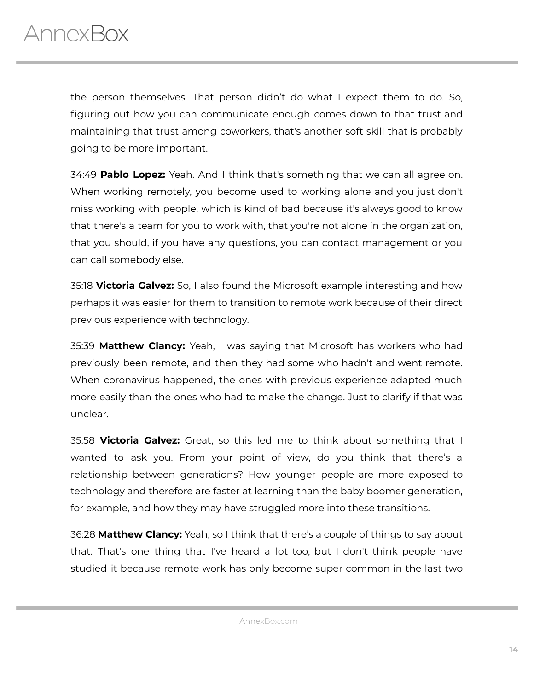the person themselves. That person didn't do what I expect them to do. So, figuring out how you can communicate enough comes down to that trust and maintaining that trust among coworkers, that's another soft skill that is probably going to be more important.

34:49 **Pablo Lopez:** Yeah. And I think that's something that we can all agree on. When working remotely, you become used to working alone and you just don't miss working with people, which is kind of bad because it's always good to know that there's a team for you to work with, that you're not alone in the organization, that you should, if you have any questions, you can contact management or you can call somebody else.

35:18 **Victoria Galvez:** So, I also found the Microsoft example interesting and how perhaps it was easier for them to transition to remote work because of their direct previous experience with technology.

35:39 **Matthew Clancy:** Yeah, I was saying that Microsoft has workers who had previously been remote, and then they had some who hadn't and went remote. When coronavirus happened, the ones with previous experience adapted much more easily than the ones who had to make the change. Just to clarify if that was unclear.

35:58 **Victoria Galvez:** Great, so this led me to think about something that I wanted to ask you. From your point of view, do you think that there's a relationship between generations? How younger people are more exposed to technology and therefore are faster at learning than the baby boomer generation, for example, and how they may have struggled more into these transitions.

36:28 **Matthew Clancy:** Yeah, so I think that there's a couple of things to say about that. That's one thing that I've heard a lot too, but I don't think people have studied it because remote work has only become super common in the last two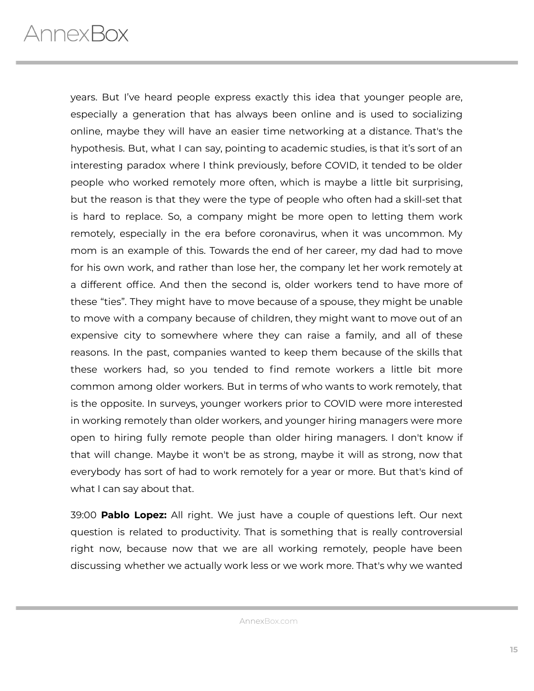years. But I've heard people express exactly this idea that younger people are, especially a generation that has always been online and is used to socializing online, maybe they will have an easier time networking at a distance. That's the hypothesis. But, what I can say, pointing to academic studies, is that it's sort of an interesting paradox where I think previously, before COVID, it tended to be older people who worked remotely more often, which is maybe a little bit surprising, but the reason is that they were the type of people who often had a skill-set that is hard to replace. So, a company might be more open to letting them work remotely, especially in the era before coronavirus, when it was uncommon. My mom is an example of this. Towards the end of her career, my dad had to move for his own work, and rather than lose her, the company let her work remotely at a different office. And then the second is, older workers tend to have more of these "ties". They might have to move because of a spouse, they might be unable to move with a company because of children, they might want to move out of an expensive city to somewhere where they can raise a family, and all of these reasons. In the past, companies wanted to keep them because of the skills that these workers had, so you tended to find remote workers a little bit more common among older workers. But in terms of who wants to work remotely, that is the opposite. In surveys, younger workers prior to COVID were more interested in working remotely than older workers, and younger hiring managers were more open to hiring fully remote people than older hiring managers. I don't know if that will change. Maybe it won't be as strong, maybe it will as strong, now that everybody has sort of had to work remotely for a year or more. But that's kind of what I can say about that.

39:00 **Pablo Lopez:** All right. We just have a couple of questions left. Our next question is related to productivity. That is something that is really controversial right now, because now that we are all working remotely, people have been discussing whether we actually work less or we work more. That's why we wanted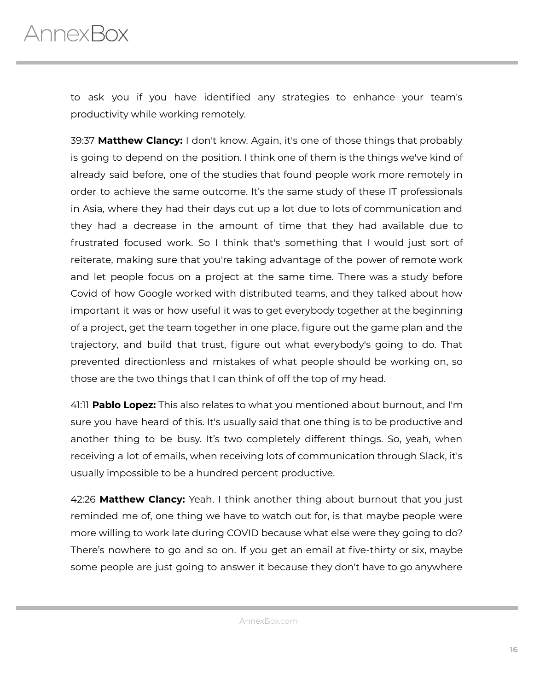to ask you if you have identified any strategies to enhance your team's productivity while working remotely.

39:37 **Matthew Clancy:** I don't know. Again, it's one of those things that probably is going to depend on the position. I think one of them is the things we've kind of already said before, one of the studies that found people work more remotely in order to achieve the same outcome. It's the same study of these IT professionals in Asia, where they had their days cut up a lot due to lots of communication and they had a decrease in the amount of time that they had available due to frustrated focused work. So I think that's something that I would just sort of reiterate, making sure that you're taking advantage of the power of remote work and let people focus on a project at the same time. There was a study before Covid of how Google worked with distributed teams, and they talked about how important it was or how useful it was to get everybody together at the beginning of a project, get the team together in one place, figure out the game plan and the trajectory, and build that trust, figure out what everybody's going to do. That prevented directionless and mistakes of what people should be working on, so those are the two things that I can think of off the top of my head.

41:11 **Pablo Lopez:** This also relates to what you mentioned about burnout, and I'm sure you have heard of this. It's usually said that one thing is to be productive and another thing to be busy. It's two completely different things. So, yeah, when receiving a lot of emails, when receiving lots of communication through Slack, it's usually impossible to be a hundred percent productive.

42:26 **Matthew Clancy:** Yeah. I think another thing about burnout that you just reminded me of, one thing we have to watch out for, is that maybe people were more willing to work late during COVID because what else were they going to do? There's nowhere to go and so on. If you get an email at five-thirty or six, maybe some people are just going to answer it because they don't have to go anywhere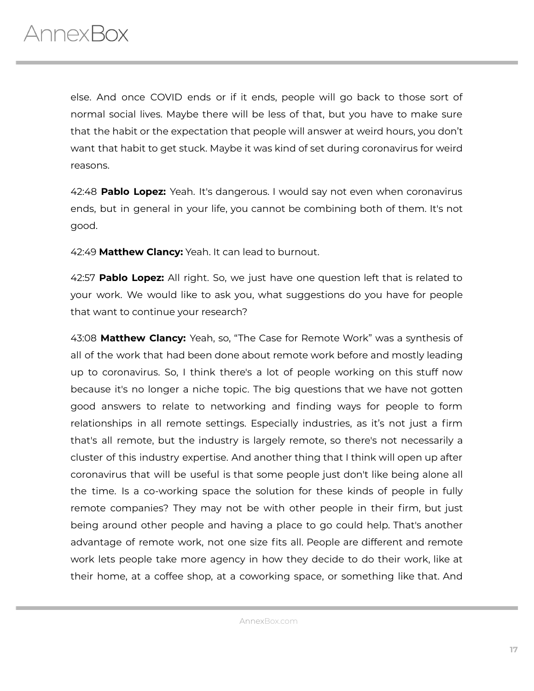else. And once COVID ends or if it ends, people will go back to those sort of normal social lives. Maybe there will be less of that, but you have to make sure that the habit or the expectation that people will answer at weird hours, you don't want that habit to get stuck. Maybe it was kind of set during coronavirus for weird reasons.

42:48 **Pablo Lopez:** Yeah. It's dangerous. I would say not even when coronavirus ends, but in general in your life, you cannot be combining both of them. It's not good.

42:49 **Matthew Clancy:** Yeah. It can lead to burnout.

42:57 **Pablo Lopez:** All right. So, we just have one question left that is related to your work. We would like to ask you, what suggestions do you have for people that want to continue your research?

43:08 **Matthew Clancy:** Yeah, so, "The Case for Remote Work" was a synthesis of all of the work that had been done about remote work before and mostly leading up to coronavirus. So, I think there's a lot of people working on this stuff now because it's no longer a niche topic. The big questions that we have not gotten good answers to relate to networking and finding ways for people to form relationships in all remote settings. Especially industries, as it's not just a firm that's all remote, but the industry is largely remote, so there's not necessarily a cluster of this industry expertise. And another thing that I think will open up after coronavirus that will be useful is that some people just don't like being alone all the time. Is a co-working space the solution for these kinds of people in fully remote companies? They may not be with other people in their firm, but just being around other people and having a place to go could help. That's another advantage of remote work, not one size fits all. People are different and remote work lets people take more agency in how they decide to do their work, like at their home, at a coffee shop, at a coworking space, or something like that. And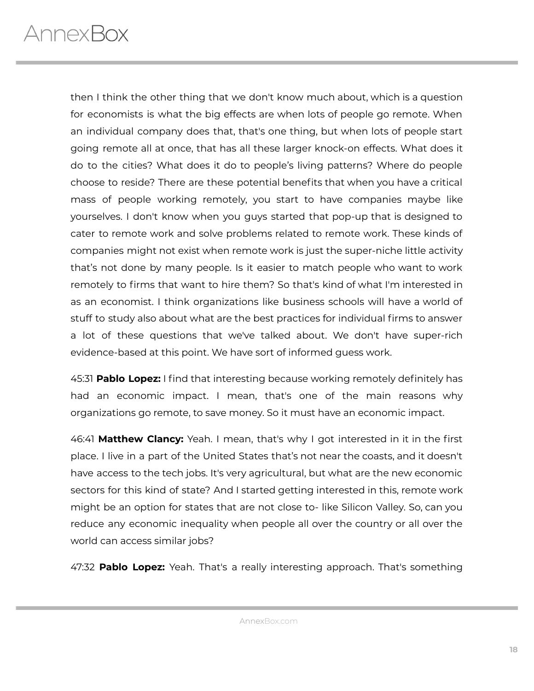then I think the other thing that we don't know much about, which is a question for economists is what the big effects are when lots of people go remote. When an individual company does that, that's one thing, but when lots of people start going remote all at once, that has all these larger knock-on effects. What does it do to the cities? What does it do to people's living patterns? Where do people choose to reside? There are these potential benefits that when you have a critical mass of people working remotely, you start to have companies maybe like yourselves. I don't know when you guys started that pop-up that is designed to cater to remote work and solve problems related to remote work. These kinds of companies might not exist when remote work is just the super-niche little activity that's not done by many people. Is it easier to match people who want to work remotely to firms that want to hire them? So that's kind of what I'm interested in as an economist. I think organizations like business schools will have a world of stuff to study also about what are the best practices for individual firms to answer a lot of these questions that we've talked about. We don't have super-rich evidence-based at this point. We have sort of informed guess work.

45:31 **Pablo Lopez:** I find that interesting because working remotely definitely has had an economic impact. I mean, that's one of the main reasons why organizations go remote, to save money. So it must have an economic impact.

46:41 **Matthew Clancy:** Yeah. I mean, that's why I got interested in it in the first place. I live in a part of the United States that's not near the coasts, and it doesn't have access to the tech jobs. It's very agricultural, but what are the new economic sectors for this kind of state? And I started getting interested in this, remote work might be an option for states that are not close to- like Silicon Valley. So, can you reduce any economic inequality when people all over the country or all over the world can access similar jobs?

47:32 **Pablo Lopez:** Yeah. That's a really interesting approach. That's something